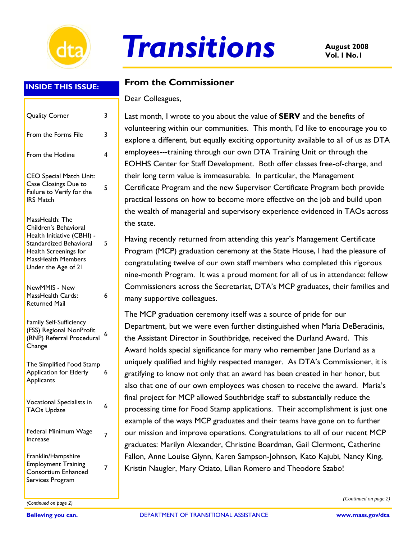

# **August 2008** *Transitions* **Vol. I No.1**

#### **INSIDE THIS ISSUE:**

| <b>Quality Corner</b>                                                                                                                                                   | 3 |
|-------------------------------------------------------------------------------------------------------------------------------------------------------------------------|---|
| From the Forms File                                                                                                                                                     | 3 |
| From the Hotline                                                                                                                                                        | 4 |
| <b>CEO Special Match Unit:</b><br>Case Closings Due to<br>Failure to Verify for the<br><b>IRS Match</b>                                                                 | 5 |
| MassHealth: The<br>Children's Behavioral<br>Health Initiative (CBHI) -<br>Standardized Behavioral<br>Health Screenings for<br>MassHealth Members<br>Under the Age of 21 | 5 |
| NewMMIS - New<br>MassHealth Cards:<br><b>Returned Mail</b>                                                                                                              | 6 |
| Family Self-Sufficiency<br>(FSS) Regional NonProfit<br>(RNP) Referral Procedural<br>Change                                                                              | 6 |
| The Simplified Food Stamp<br><b>Application for Elderly</b><br>Applicants                                                                                               | 6 |
| Vocational Specialists in<br>TAOs Update                                                                                                                                | 6 |
| Federal Minimum Wage<br>Increase                                                                                                                                        | 7 |
| Franklin/Hampshire<br><b>Employment Training</b><br>Consortium Enhanced<br>Services Program                                                                             | 7 |

#### **From the Commissioner**

Dear Colleagues,

Last month, I wrote to you about the value of **SERV** and the benefits of volunteering within our communities. This month, I'd like to encourage you to explore a different, but equally exciting opportunity available to all of us as DTA employees---training through our own DTA Training Unit or through the EOHHS Center for Staff Development. Both offer classes free-of-charge, and their long term value is immeasurable. In particular, the Management Certificate Program and the new Supervisor Certificate Program both provide practical lessons on how to become more effective on the job and build upon the wealth of managerial and supervisory experience evidenced in TAOs across the state.

Having recently returned from attending this year's Management Certificate Program (MCP) graduation ceremony at the State House, I had the pleasure of congratulating twelve of our own staff members who completed this rigorous nine-month Program. It was a proud moment for all of us in attendance: fellow Commissioners across the Secretariat, DTA's MCP graduates, their families and many supportive colleagues.

The MCP graduation ceremony itself was a source of pride for our Department, but we were even further distinguished when Maria DeBeradinis, the Assistant Director in Southbridge, received the Durland Award. This Award holds special significance for many who remember Jane Durland as a uniquely qualified and highly respected manager. As DTA's Commissioner, it is gratifying to know not only that an award has been created in her honor, but also that one of our own employees was chosen to receive the award. Maria's final project for MCP allowed Southbridge staff to substantially reduce the processing time for Food Stamp applications. Their accomplishment is just one example of the ways MCP graduates and their teams have gone on to further our mission and improve operations. Congratulations to all of our recent MCP graduates: Marilyn Alexander, Christine Boardman, Gail Clermont, Catherine Fallon, Anne Louise Glynn, Karen Sampson-Johnson, Kato Kajubi, Nancy King, Kristin Naugler, Mary Otiato, Lilian Romero and Theodore Szabo!

*(Continued on page 2) (Continued on page 2)*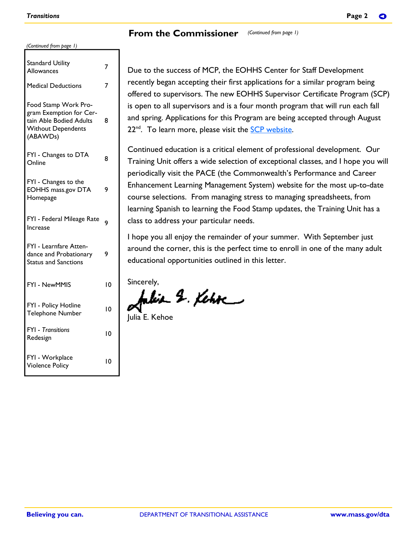| (Continued from page 1) |  |  |
|-------------------------|--|--|
|                         |  |  |

| <b>Standard Utility</b><br>Allowances                                                                               | 7  |
|---------------------------------------------------------------------------------------------------------------------|----|
| <b>Medical Deductions</b>                                                                                           | 7  |
| Food Stamp Work Pro-<br>gram Exemption for Cer-<br>tain Able Bodied Adults<br><b>Without Dependents</b><br>(ABAWDs) | 8  |
| FYI - Changes to DTA<br>Online                                                                                      | 8  |
| FYI - Changes to the<br><b>EOHHS mass.gov DTA</b><br>Homepage                                                       | 9  |
| FYI - Federal Mileage Rate<br>Increase                                                                              | 9  |
| FYI - Learnfare Atten-<br>dance and Probationary<br><b>Status and Sanctions</b>                                     | 9  |
| FYI - NewMMIS                                                                                                       | ١0 |
| FYI - Policy Hotline<br><b>Telephone Number</b>                                                                     | 10 |
| <b>FYI</b> - Transitions<br>Redesign                                                                                | 10 |
| FYI - Workplace<br><b>Violence Policy</b>                                                                           | 10 |

Due to the success of MCP, the EOHHS Center for Staff Development recently began accepting their first applications for a similar program being offered to supervisors. The new EOHHS Supervisor Certificate Program (SCP) is open to all supervisors and is a four month program that will run each fall and spring. Applications for this Program are being accepted through August  $22<sup>nd</sup>$ . To learn more, please visit the  $SCP$  website.

Continued education is a critical element of professional development. Our Training Unit offers a wide selection of exceptional classes, and I hope you will periodically visit the PACE (the Commonwealth's Performance and Career Enhancement Learning Management System) website for the most up-to-date course selections. From managing stress to managing spreadsheets, from learning Spanish to learning the Food Stamp updates, the Training Unit has a class to address your particular needs.

I hope you all enjoy the remainder of your summer. With September just around the corner, this is the perfect time to enroll in one of the many adult educational opportunities outlined in this letter.

Sincerely,

 $-$  2. Kehr $-$ 

Julia E. Kehoe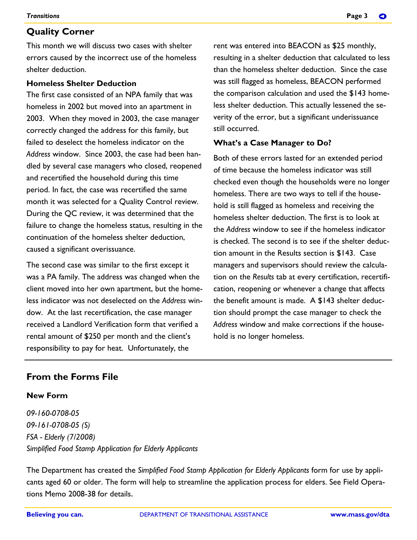#### **Quality Corner**

This month we will discuss two cases with shelter errors caused by the incorrect use of the homeless shelter deduction.

#### **Homeless Shelter Deduction**

The first case consisted of an NPA family that was homeless in 2002 but moved into an apartment in 2003. When they moved in 2003, the case manager correctly changed the address for this family, but failed to deselect the homeless indicator on the *Address* window. Since 2003, the case had been handled by several case managers who closed, reopened and recertified the household during this time period. In fact, the case was recertified the same month it was selected for a Quality Control review. During the QC review, it was determined that the failure to change the homeless status, resulting in the continuation of the homeless shelter deduction, caused a significant overissuance.

The second case was similar to the first except it was a PA family. The address was changed when the client moved into her own apartment, but the homeless indicator was not deselected on the *Address* window. At the last recertification, the case manager received a Landlord Verification form that verified a rental amount of \$250 per month and the client's responsibility to pay for heat. Unfortunately, the

rent was entered into BEACON as \$25 monthly, resulting in a shelter deduction that calculated to less than the homeless shelter deduction. Since the case was still flagged as homeless, BEACON performed the comparison calculation and used the \$143 homeless shelter deduction. This actually lessened the severity of the error, but a significant underissuance still occurred.

#### **What's a Case Manager to Do?**

Both of these errors lasted for an extended period of time because the homeless indicator was still checked even though the households were no longer homeless. There are two ways to tell if the household is still flagged as homeless and receiving the homeless shelter deduction. The first is to look at the *Address* window to see if the homeless indicator is checked. The second is to see if the shelter deduction amount in the Results section is \$143. Case managers and supervisors should review the calculation on the *Results* tab at every certification, recertification, reopening or whenever a change that affects the benefit amount is made. A \$143 shelter deduction should prompt the case manager to check the *Address* window and make corrections if the household is no longer homeless.

#### **From the Forms File**

#### **New Form**

*09-160-0708-05 09-161-0708-05 (S) FSA - Elderly (7/2008) Simplified Food Stamp Application for Elderly Applicants* 

The Department has created the *Simplified Food Stamp Application for Elderly Applicants* form for use by applicants aged 60 or older. The form will help to streamline the application process for elders. See Field Operations Memo 2008-38 for details.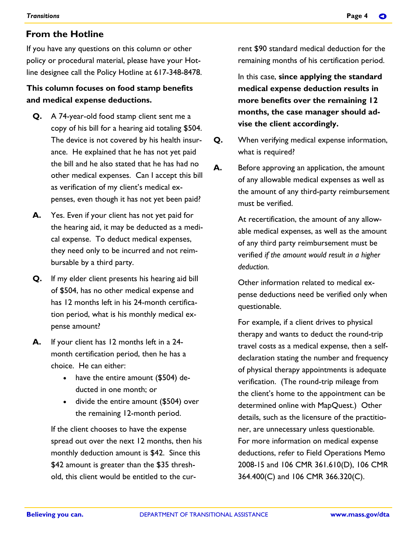#### **From the Hotline**

If you have any questions on this column or other policy or procedural material, please have your Hotline designee call the Policy Hotline at 617-348-8478.

#### **This column focuses on food stamp benefits and medical expense deductions.**

- **Q.** A 74-year-old food stamp client sent me a copy of his bill for a hearing aid totaling \$504. The device is not covered by his health insurance. He explained that he has not yet paid the bill and he also stated that he has had no other medical expenses. Can I accept this bill as verification of my client's medical expenses, even though it has not yet been paid?
- **A.** Yes. Even if your client has not yet paid for the hearing aid, it may be deducted as a medical expense. To deduct medical expenses, they need only to be incurred and not reimbursable by a third party.
- **Q.** If my elder client presents his hearing aid bill of \$504, has no other medical expense and has 12 months left in his 24-month certification period, what is his monthly medical expense amount?
- **A.** If your client has 12 months left in a 24 month certification period, then he has a choice. He can either:
	- have the entire amount (\$504) deducted in one month; or
	- divide the entire amount (\$504) over the remaining 12-month period.

If the client chooses to have the expense spread out over the next 12 months, then his monthly deduction amount is \$42. Since this \$42 amount is greater than the \$35 threshold, this client would be entitled to the current \$90 standard medical deduction for the remaining months of his certification period.

In this case, **since applying the standard medical expense deduction results in more benefits over the remaining 12 months, the case manager should advise the client accordingly.** 

- **Q.** When verifying medical expense information, what is required?
- **A.** Before approving an application, the amount of any allowable medical expenses as well as the amount of any third-party reimbursement must be verified.

At recertification, the amount of any allowable medical expenses, as well as the amount of any third party reimbursement must be verified *if the amount would result in a higher deduction.* 

Other information related to medical expense deductions need be verified only when questionable.

For example, if a client drives to physical therapy and wants to deduct the round-trip travel costs as a medical expense, then a selfdeclaration stating the number and frequency of physical therapy appointments is adequate verification. (The round-trip mileage from the client's home to the appointment can be determined online with MapQuest.) Other details, such as the licensure of the practitioner, are unnecessary unless questionable. For more information on medical expense deductions, refer to Field Operations Memo 2008-15 and 106 CMR 361.610(D), 106 CMR 364.400(C) and 106 CMR 366.320(C).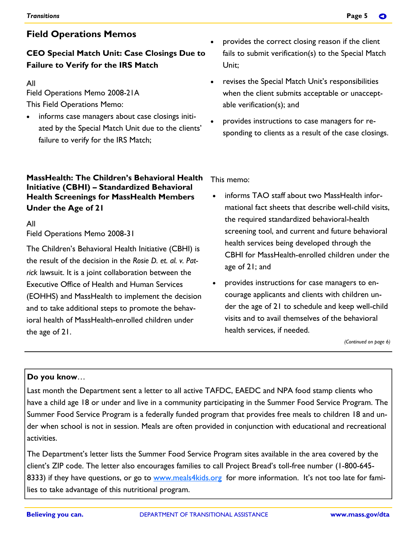### **CEO Special Match Unit: Case Closings Due to Failure to Verify for the IRS Match**

#### All

Field Operations Memo 2008-21A This Field Operations Memo:

• informs case managers about case closings initiated by the Special Match Unit due to the clients' failure to verify for the IRS Match;

#### **MassHealth: The Children's Behavioral Health Initiative (CBHI) – Standardized Behavioral Health Screenings for MassHealth Members Under the Age of 21**

#### All

Field Operations Memo 2008-31

The Children's Behavioral Health Initiative (CBHI) is the result of the decision in the *Rosie D. et. al. v. Patrick* lawsuit. It is a joint collaboration between the Executive Office of Health and Human Services (EOHHS) and MassHealth to implement the decision and to take additional steps to promote the behavioral health of MassHealth-enrolled children under the age of 21.

- provides the correct closing reason if the client fails to submit verification(s) to the Special Match Unit;
- revises the Special Match Unit's responsibilities when the client submits acceptable or unacceptable verification(s); and
- provides instructions to case managers for responding to clients as a result of the case closings.

This memo:

- informs TAO staff about two MassHealth informational fact sheets that describe well-child visits, the required standardized behavioral-health screening tool, and current and future behavioral health services being developed through the CBHI for MassHealth-enrolled children under the age of 21; and
- provides instructions for case managers to encourage applicants and clients with children under the age of 21 to schedule and keep well-child visits and to avail themselves of the behavioral health services, if needed.

*(Continued on page 6)* 

#### **Do you know**…

Last month the Department sent a letter to all active TAFDC, EAEDC and NPA food stamp clients who have a child age 18 or under and live in a community participating in the Summer Food Service Program. The Summer Food Service Program is a federally funded program that provides free meals to children 18 and under when school is not in session. Meals are often provided in conjunction with educational and recreational activities.

The Department's letter lists the Summer Food Service Program sites available in the area covered by the client's ZIP code. The letter also encourages families to call Project Bread's toll-free number (1-800-645- 8333) if they have questions, or go to www.meals4kids.org for more information. It's not too late for families to take advantage of this nutritional program.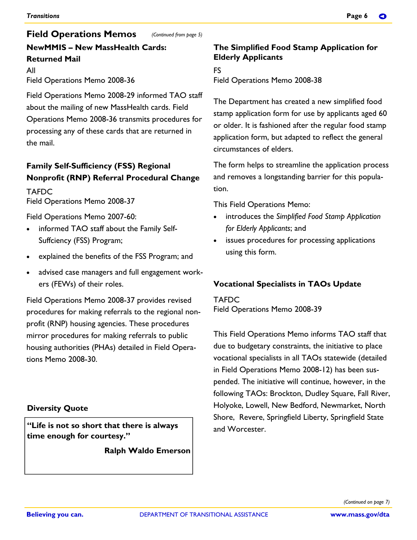#### *(Continued from page 5)*  **NewMMIS – New MassHealth Cards: Returned Mail Field Operations Memos**

All Field Operations Memo 2008-36

Field Operations Memo 2008-29 informed TAO staff about the mailing of new MassHealth cards. Field Operations Memo 2008-36 transmits procedures for processing any of these cards that are returned in the mail.

### **Family Self-Sufficiency (FSS) Regional Nonprofit (RNP) Referral Procedural Change**

**TAFDC** Field Operations Memo 2008-37

Field Operations Memo 2007-60:

- informed TAO staff about the Family Self-Suffciency (FSS) Program;
- explained the benefits of the FSS Program; and
- advised case managers and full engagement workers (FEWs) of their roles.

Field Operations Memo 2008-37 provides revised procedures for making referrals to the regional nonprofit (RNP) housing agencies. These procedures mirror procedures for making referrals to public housing authorities (PHAs) detailed in Field Operations Memo 2008-30.

#### **Diversity Quote**

**"Life is not so short that there is always time enough for courtesy."** 

 **Ralph Waldo Emerson**

#### **The Simplified Food Stamp Application for Elderly Applicants**

FS Field Operations Memo 2008-38

The Department has created a new simplified food stamp application form for use by applicants aged 60 or older. It is fashioned after the regular food stamp application form, but adapted to reflect the general circumstances of elders.

The form helps to streamline the application process and removes a longstanding barrier for this population.

This Field Operations Memo:

- introduces the *Simplified Food Stamp Application for Elderly Applicants*; and
- issues procedures for processing applications using this form.

#### **Vocational Specialists in TAOs Update**

TAFDC Field Operations Memo 2008-39

This Field Operations Memo informs TAO staff that due to budgetary constraints, the initiative to place vocational specialists in all TAOs statewide (detailed in Field Operations Memo 2008-12) has been suspended. The initiative will continue, however, in the following TAOs: Brockton, Dudley Square, Fall River, Holyoke, Lowell, New Bedford, Newmarket, North Shore, Revere, Springfield Liberty, Springfield State and Worcester.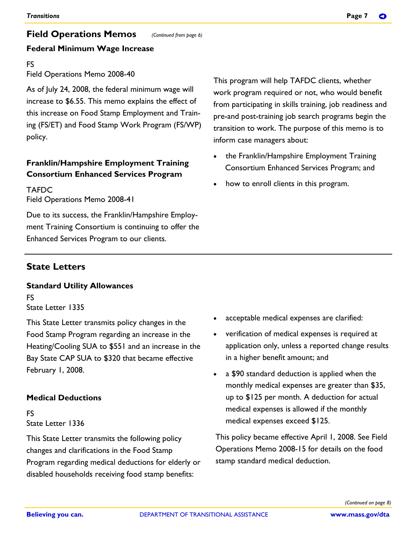## **Field Operations Memos**

#### *(Continued from page 6)*

#### **Federal Minimum Wage Increase**

#### FS

#### Field Operations Memo 2008-40

As of July 24, 2008, the federal minimum wage will increase to \$6.55. This memo explains the effect of this increase on Food Stamp Employment and Training (FS/ET) and Food Stamp Work Program (FS/WP) policy.

#### **Franklin/Hampshire Employment Training Consortium Enhanced Services Program**

TAFDC Field Operations Memo 2008-41

Due to its success, the Franklin/Hampshire Employment Training Consortium is continuing to offer the Enhanced Services Program to our clients.

This program will help TAFDC clients, whether work program required or not, who would benefit from participating in skills training, job readiness and pre-and post-training job search programs begin the transition to work. The purpose of this memo is to inform case managers about:

- the Franklin/Hampshire Employment Training Consortium Enhanced Services Program; and
- how to enroll clients in this program.

# **State Letters**

# **Standard Utility Allowances**

FS State Letter 1335

This State Letter transmits policy changes in the Food Stamp Program regarding an increase in the Heating/Cooling SUA to \$551 and an increase in the Bay State CAP SUA to \$320 that became effective February 1, 2008.

#### **Medical Deductions**

#### FS State Letter 1336

This State Letter transmits the following policy changes and clarifications in the Food Stamp Program regarding medical deductions for elderly or disabled households receiving food stamp benefits:

- acceptable medical expenses are clarified:
- verification of medical expenses is required at application only, unless a reported change results in a higher benefit amount; and
- a \$90 standard deduction is applied when the monthly medical expenses are greater than \$35, up to \$125 per month. A deduction for actual medical expenses is allowed if the monthly medical expenses exceed \$125.

This policy became effective April 1, 2008. See Field Operations Memo 2008-15 for details on the food stamp standard medical deduction.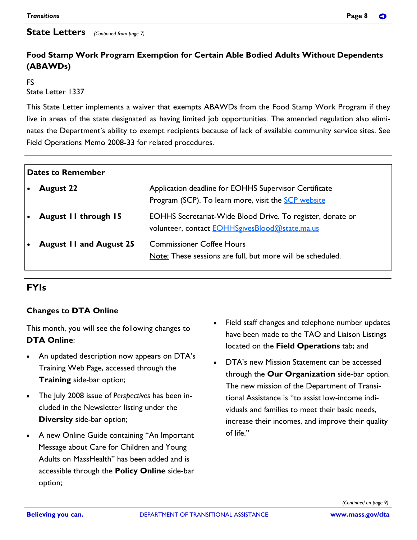#### **State Letters** (Continued from page 7)

#### **Food Stamp Work Program Exemption for Certain Able Bodied Adults Without Dependents (ABAWDs)**

#### FS

State Letter 1337

This State Letter implements a waiver that exempts ABAWDs from the Food Stamp Work Program if they live in areas of the state designated as having limited job opportunities. The amended regulation also eliminates the Department's ability to exempt recipients because of lack of available community service sites. See Field Operations Memo 2008-33 for related procedures.

| Dates to Remember |                                |                                                                                                                     |  |  |
|-------------------|--------------------------------|---------------------------------------------------------------------------------------------------------------------|--|--|
|                   | <b>August 22</b>               | Application deadline for EOHHS Supervisor Certificate<br>Program (SCP). To learn more, visit the SCP website        |  |  |
|                   | August II through 15           | EOHHS Secretariat-Wide Blood Drive. To register, donate or<br>volunteer, contact <b>EOHHSgivesBlood@state.ma.us</b> |  |  |
|                   | <b>August 11 and August 25</b> | <b>Commissioner Coffee Hours</b><br>Note: These sessions are full, but more will be scheduled.                      |  |  |

#### **FYIs**

#### **Changes to DTA Online**

This month, you will see the following changes to **DTA Online**:

- An updated description now appears on DTA's Training Web Page, accessed through the **Training** side-bar option;
- The July 2008 issue of *Perspectives* has been included in the Newsletter listing under the **Diversity** side-bar option;
- A new Online Guide containing "An Important Message about Care for Children and Young Adults on MassHealth" has been added and is accessible through the **Policy Online** side-bar option;
- Field staff changes and telephone number updates have been made to the TAO and Liaison Listings located on the **Field Operations** tab; and
- DTA's new Mission Statement can be accessed through the **Our Organization** side-bar option. The new mission of the Department of Transitional Assistance is "to assist low-income individuals and families to meet their basic needs, increase their incomes, and improve their quality of life."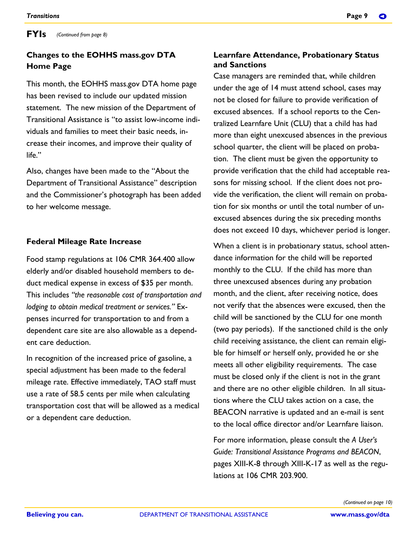#### **Changes to the EOHHS mass.gov DTA Home Page**

This month, the EOHHS mass.gov DTA home page has been revised to include our updated mission statement. The new mission of the Department of Transitional Assistance is "to assist low-income individuals and families to meet their basic needs, increase their incomes, and improve their quality of  $l$ ife $"$ 

Also, changes have been made to the "About the Department of Transitional Assistance" description and the Commissioner's photograph has been added to her welcome message.

#### **Federal Mileage Rate Increase**

Food stamp regulations at 106 CMR 364.400 allow elderly and/or disabled household members to deduct medical expense in excess of \$35 per month. This includes *"the reasonable cost of transportation and lodging to obtain medical treatment or services."* Expenses incurred for transportation to and from a dependent care site are also allowable as a dependent care deduction.

In recognition of the increased price of gasoline, a special adjustment has been made to the federal mileage rate. Effective immediately, TAO staff must use a rate of 58.5 cents per mile when calculating transportation cost that will be allowed as a medical or a dependent care deduction.

#### **Learnfare Attendance, Probationary Status and Sanctions**

Case managers are reminded that, while children under the age of 14 must attend school, cases may not be closed for failure to provide verification of excused absences. If a school reports to the Centralized Learnfare Unit (CLU) that a child has had more than eight unexcused absences in the previous school quarter, the client will be placed on probation. The client must be given the opportunity to provide verification that the child had acceptable reasons for missing school. If the client does not provide the verification, the client will remain on probation for six months or until the total number of unexcused absences during the six preceding months does not exceed 10 days, whichever period is longer.

When a client is in probationary status, school attendance information for the child will be reported monthly to the CLU. If the child has more than three unexcused absences during any probation month, and the client, after receiving notice, does not verify that the absences were excused, then the child will be sanctioned by the CLU for one month (two pay periods). If the sanctioned child is the only child receiving assistance, the client can remain eligible for himself or herself only, provided he or she meets all other eligibility requirements. The case must be closed only if the client is not in the grant and there are no other eligible children. In all situations where the CLU takes action on a case, the BEACON narrative is updated and an e-mail is sent to the local office director and/or Learnfare liaison.

For more information, please consult the *A User's Guide: Transitional Assistance Programs and BEACON*, pages XIII-K-8 through XIII-K-17 as well as the regulations at 106 CMR 203.900.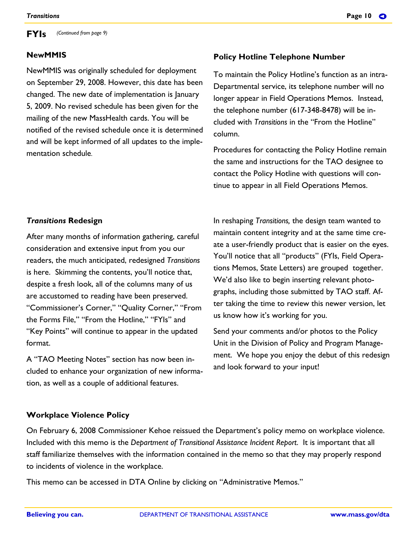#### **NewMMIS**

NewMMIS was originally scheduled for deployment on September 29, 2008. However, this date has been changed. The new date of implementation is January 5, 2009. No revised schedule has been given for the mailing of the new MassHealth cards. You will be notified of the revised schedule once it is determined and will be kept informed of all updates to the implementation schedule.

#### **Policy Hotline Telephone Number**

To maintain the Policy Hotline's function as an intra-Departmental service, its telephone number will no longer appear in Field Operations Memos. Instead, the telephone number (617-348-8478) will be included with *Transitions* in the "From the Hotline" column.

Procedures for contacting the Policy Hotline remain the same and instructions for the TAO designee to contact the Policy Hotline with questions will continue to appear in all Field Operations Memos.

#### *Transitions* **Redesign**

After many months of information gathering, careful consideration and extensive input from you our readers, the much anticipated, redesigned *Transitions* is here. Skimming the contents, you'll notice that, despite a fresh look, all of the columns many of us are accustomed to reading have been preserved. "Commissioner's Corner," "Quality Corner," "From the Forms File," "From the Hotline," "FYIs" and "Key Points" will continue to appear in the updated format.

A "TAO Meeting Notes" section has now been included to enhance your organization of new information, as well as a couple of additional features.

In reshaping *Transitions,* the design team wanted to maintain content integrity and at the same time create a user-friendly product that is easier on the eyes. You'll notice that all "products" (FYIs, Field Operations Memos, State Letters) are grouped together. We'd also like to begin inserting relevant photographs, including those submitted by TAO staff. After taking the time to review this newer version, let us know how it's working for you.

Send your comments and/or photos to the Policy Unit in the Division of Policy and Program Management. We hope you enjoy the debut of this redesign and look forward to your input!

#### **Workplace Violence Policy**

On February 6, 2008 Commissioner Kehoe reissued the Department's policy memo on workplace violence. Included with this memo is the *Department of Transitional Assistance Incident Report*. It is important that all staff familiarize themselves with the information contained in the memo so that they may properly respond to incidents of violence in the workplace.

This memo can be accessed in DTA Online by clicking on "Administrative Memos."